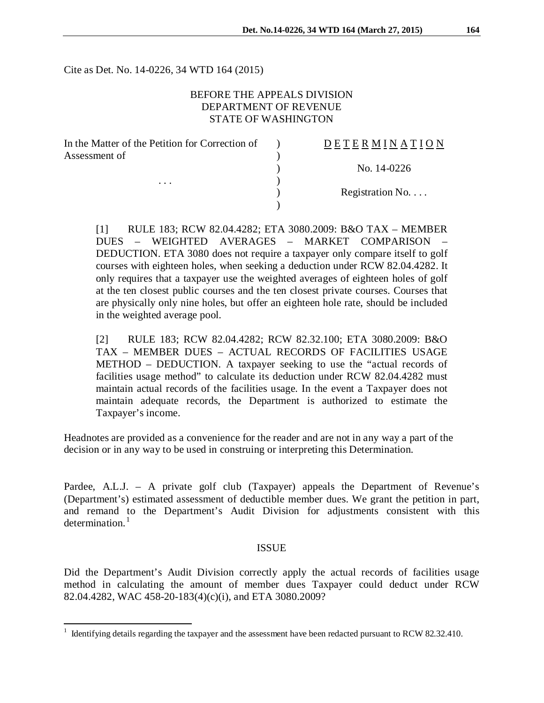Cite as Det. No. 14-0226, 34 WTD 164 (2015)

## BEFORE THE APPEALS DIVISION DEPARTMENT OF REVENUE STATE OF WASHINGTON

| In the Matter of the Petition for Correction of | <b>DETERMINATION</b>     |
|-------------------------------------------------|--------------------------|
| Assessment of<br>$\cdots$                       |                          |
|                                                 | No. 14-0226              |
|                                                 |                          |
|                                                 | Registration No. $\dots$ |
|                                                 |                          |

[1] RULE 183; RCW 82.04.4282; ETA 3080.2009: B&O TAX – MEMBER DUES – WEIGHTED AVERAGES – MARKET COMPARISON – DEDUCTION. ETA 3080 does not require a taxpayer only compare itself to golf courses with eighteen holes, when seeking a deduction under RCW 82.04.4282. It only requires that a taxpayer use the weighted averages of eighteen holes of golf at the ten closest public courses and the ten closest private courses. Courses that are physically only nine holes, but offer an eighteen hole rate, should be included in the weighted average pool.

[2] RULE 183; RCW 82.04.4282; RCW 82.32.100; ETA 3080.2009: B&O TAX – MEMBER DUES – ACTUAL RECORDS OF FACILITIES USAGE METHOD – DEDUCTION. A taxpayer seeking to use the "actual records of facilities usage method" to calculate its deduction under RCW 82.04.4282 must maintain actual records of the facilities usage. In the event a Taxpayer does not maintain adequate records, the Department is authorized to estimate the Taxpayer's income.

Headnotes are provided as a convenience for the reader and are not in any way a part of the decision or in any way to be used in construing or interpreting this Determination.

Pardee, A.L.J. – A private golf club (Taxpayer) appeals the Department of Revenue's (Department's) estimated assessment of deductible member dues. We grant the petition in part, and remand to the Department's Audit Division for adjustments consistent with this determination.<sup>[1](#page-0-0)</sup>

#### ISSUE

Did the Department's Audit Division correctly apply the actual records of facilities usage method in calculating the amount of member dues Taxpayer could deduct under RCW 82.04.4282, WAC 458-20-183(4)(c)(i), and ETA 3080.2009?

 $\overline{a}$ 

<span id="page-0-0"></span> $1$  Identifying details regarding the taxpayer and the assessment have been redacted pursuant to RCW 82.32.410.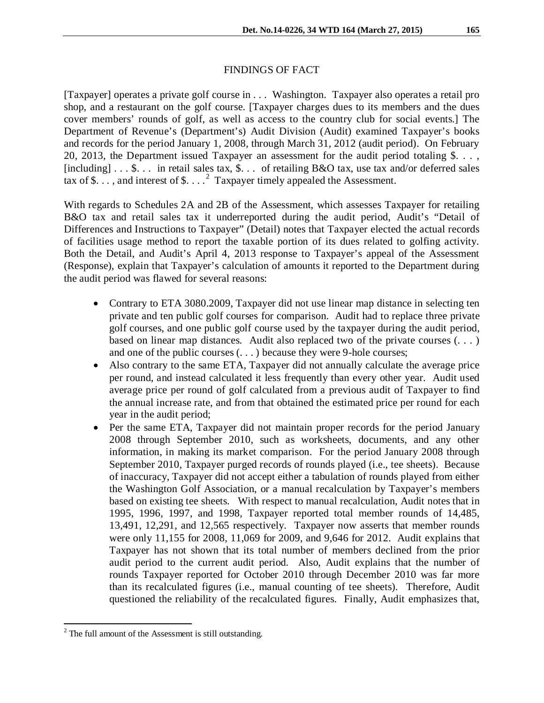## FINDINGS OF FACT

[Taxpayer] operates a private golf course in . . . Washington. Taxpayer also operates a retail pro shop, and a restaurant on the golf course. [Taxpayer charges dues to its members and the dues cover members' rounds of golf, as well as access to the country club for social events.] The Department of Revenue's (Department's) Audit Division (Audit) examined Taxpayer's books and records for the period January 1, 2008, through March 31, 2012 (audit period). On February 20, 2013, the Department issued Taxpayer an assessment for the audit period totaling \$. . . , [including]  $\dots$  \$... in retail sales tax, \$... of retailing B&O tax, use tax and/or deferred sales tax of \$..., and interest of  $$...^2$  $$...^2$  Taxpayer timely appealed the Assessment.

With regards to Schedules 2A and 2B of the Assessment, which assesses Taxpayer for retailing B&O tax and retail sales tax it underreported during the audit period, Audit's "Detail of Differences and Instructions to Taxpayer" (Detail) notes that Taxpayer elected the actual records of facilities usage method to report the taxable portion of its dues related to golfing activity. Both the Detail, and Audit's April 4, 2013 response to Taxpayer's appeal of the Assessment (Response), explain that Taxpayer's calculation of amounts it reported to the Department during the audit period was flawed for several reasons:

- Contrary to ETA 3080.2009, Taxpayer did not use linear map distance in selecting ten private and ten public golf courses for comparison. Audit had to replace three private golf courses, and one public golf course used by the taxpayer during the audit period, based on linear map distances. Audit also replaced two of the private courses (. . . ) and one of the public courses (. . . ) because they were 9-hole courses;
- Also contrary to the same ETA, Taxpayer did not annually calculate the average price per round, and instead calculated it less frequently than every other year. Audit used average price per round of golf calculated from a previous audit of Taxpayer to find the annual increase rate, and from that obtained the estimated price per round for each year in the audit period;
- Per the same ETA, Taxpayer did not maintain proper records for the period January 2008 through September 2010, such as worksheets, documents, and any other information, in making its market comparison. For the period January 2008 through September 2010, Taxpayer purged records of rounds played (i.e., tee sheets). Because of inaccuracy, Taxpayer did not accept either a tabulation of rounds played from either the Washington Golf Association, or a manual recalculation by Taxpayer's members based on existing tee sheets. With respect to manual recalculation, Audit notes that in 1995, 1996, 1997, and 1998, Taxpayer reported total member rounds of 14,485, 13,491, 12,291, and 12,565 respectively. Taxpayer now asserts that member rounds were only 11,155 for 2008, 11,069 for 2009, and 9,646 for 2012. Audit explains that Taxpayer has not shown that its total number of members declined from the prior audit period to the current audit period. Also, Audit explains that the number of rounds Taxpayer reported for October 2010 through December 2010 was far more than its recalculated figures (i.e., manual counting of tee sheets). Therefore, Audit questioned the reliability of the recalculated figures. Finally, Audit emphasizes that,

<span id="page-1-0"></span> $2$  The full amount of the Assessment is still outstanding.  $\overline{a}$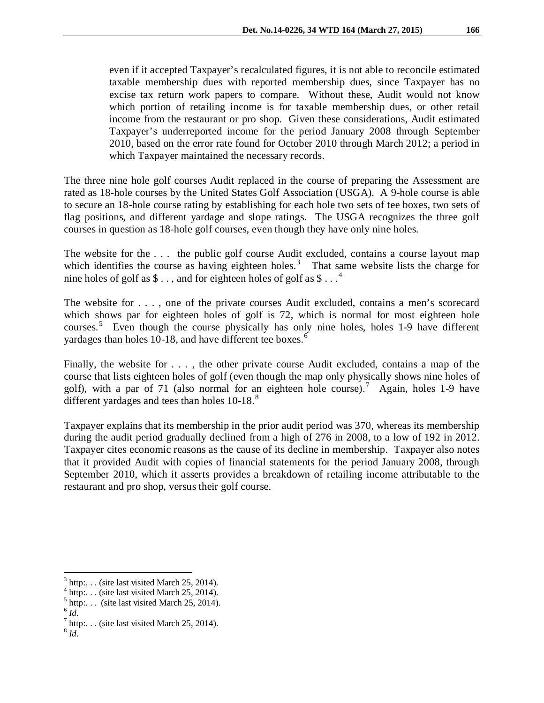even if it accepted Taxpayer's recalculated figures, it is not able to reconcile estimated taxable membership dues with reported membership dues, since Taxpayer has no excise tax return work papers to compare. Without these, Audit would not know which portion of retailing income is for taxable membership dues, or other retail income from the restaurant or pro shop. Given these considerations, Audit estimated Taxpayer's underreported income for the period January 2008 through September 2010, based on the error rate found for October 2010 through March 2012; a period in which Taxpayer maintained the necessary records.

The three nine hole golf courses Audit replaced in the course of preparing the Assessment are rated as 18-hole courses by the United States Golf Association (USGA). A 9-hole course is able to secure an 18-hole course rating by establishing for each hole two sets of tee boxes, two sets of flag positions, and different yardage and slope ratings. The USGA recognizes the three golf courses in question as 18-hole golf courses, even though they have only nine holes.

The website for the ... the public golf course Audit excluded, contains a course layout map which identifies the course as having eighteen holes.<sup>[3](#page-2-0)</sup> That same website lists the charge for nine holes of golf as  $\$\dots$ , and for eighteen holes of golf as  $\$\dots$ <sup>[4](#page-2-1)</sup>

The website for . . . , one of the private courses Audit excluded, contains a men's scorecard which shows par for eighteen holes of golf is 72, which is normal for most eighteen hole courses.<sup>[5](#page-2-2)</sup> Even though the course physically has only nine holes, holes 1-9 have different yardages than holes 10-18, and have different tee boxes.<sup>[6](#page-2-3)</sup>

Finally, the website for . . . , the other private course Audit excluded, contains a map of the course that lists eighteen holes of golf (even though the map only physically shows nine holes of golf), with a par of [7](#page-2-4)1 (also normal for an eighteen hole course).<sup>7</sup> Again, holes 1-9 have different yardages and tees than holes 10-1[8](#page-2-5).<sup>8</sup>

Taxpayer explains that its membership in the prior audit period was 370, whereas its membership during the audit period gradually declined from a high of 276 in 2008, to a low of 192 in 2012. Taxpayer cites economic reasons as the cause of its decline in membership. Taxpayer also notes that it provided Audit with copies of financial statements for the period January 2008, through September 2010, which it asserts provides a breakdown of retailing income attributable to the restaurant and pro shop, versus their golf course.

 $3$  http:... (site last visited March 25, 2014).  $\overline{\phantom{a}}$ 

<span id="page-2-1"></span><span id="page-2-0"></span><sup>&</sup>lt;sup>4</sup> http:... (site last visited March 25, 2014).<br><sup>5</sup> http:... (site last visited March 25, 2014).

<span id="page-2-3"></span><span id="page-2-2"></span> $6$   $Id.$ 

 $^7$  http:... (site last visited March 25, 2014).

<span id="page-2-5"></span><span id="page-2-4"></span><sup>8</sup> *Id.*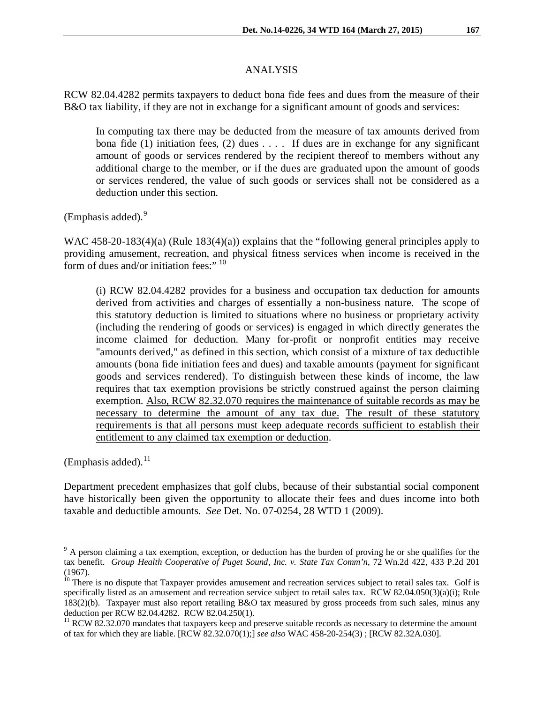### ANALYSIS

RCW 82.04.4282 permits taxpayers to deduct bona fide fees and dues from the measure of their B&O tax liability, if they are not in exchange for a significant amount of goods and services:

In computing tax there may be deducted from the measure of tax amounts derived from bona fide (1) initiation fees, (2) dues  $\dots$ . If dues are in exchange for any significant amount of goods or services rendered by the recipient thereof to members without any additional charge to the member, or if the dues are graduated upon the amount of goods or services rendered, the value of such goods or services shall not be considered as a deduction under this section.

(Emphasis added).<sup>[9](#page-3-0)</sup>

WAC 458-20-183(4)(a) (Rule 183(4)(a)) explains that the "following general principles apply to providing amusement, recreation, and physical fitness services when income is received in the form of dues and/or initiation fees:" [10](#page-3-1)

(i) RCW 82.04.4282 provides for a business and occupation tax deduction for amounts derived from activities and charges of essentially a non-business nature. The scope of this statutory deduction is limited to situations where no business or proprietary activity (including the rendering of goods or services) is engaged in which directly generates the income claimed for deduction. Many for-profit or nonprofit entities may receive "amounts derived," as defined in this section, which consist of a mixture of tax deductible amounts (bona fide initiation fees and dues) and taxable amounts (payment for significant goods and services rendered). To distinguish between these kinds of income, the law requires that tax exemption provisions be strictly construed against the person claiming exemption. Also, RCW 82.32.070 requires the maintenance of suitable records as may be necessary to determine the amount of any tax due. The result of these statutory requirements is that all persons must keep adequate records sufficient to establish their entitlement to any claimed tax exemption or deduction.

(Emphasis added). $^{11}$  $^{11}$  $^{11}$ 

 $\overline{a}$ 

Department precedent emphasizes that golf clubs, because of their substantial social component have historically been given the opportunity to allocate their fees and dues income into both taxable and deductible amounts. *See* Det. No. 07-0254, 28 WTD 1 (2009).

<span id="page-3-0"></span> $9<sup>9</sup>$  A person claiming a tax exemption, exception, or deduction has the burden of proving he or she qualifies for the tax benefit. *Group Health Cooperative of Puget Sound, Inc. v. State Tax Comm'n*, 72 Wn.2d 422, 433 P.2d 201 (1967).

<span id="page-3-1"></span> $10$  There is no dispute that Taxpayer provides amusement and recreation services subject to retail sales tax. Golf is specifically listed as an amusement and recreation service subject to retail sales tax. RCW 82.04.050(3)(a)(i); Rule 183(2)(b). Taxpayer must also report retailing B&O tax measured by gross proceeds from such sales, minus any deduction per RCW 82.04.4282. RCW 82.04.250(1).

<span id="page-3-2"></span> $11$  RCW 82.32.070 mandates that taxpayers keep and preserve suitable records as necessary to determine the amount of tax for which they are liable. [RCW 82.32.070(1);] *see also* WAC 458-20-254(3) ; [RCW 82.32A.030].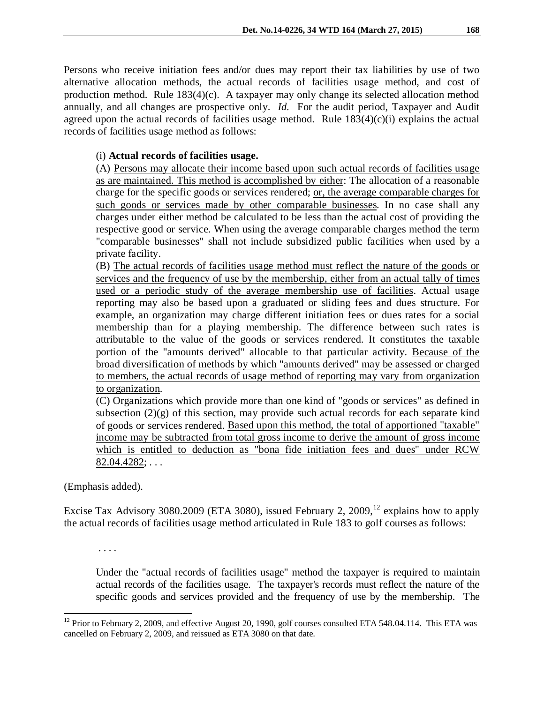Persons who receive initiation fees and/or dues may report their tax liabilities by use of two alternative allocation methods, the actual records of facilities usage method, and cost of production method. Rule 183(4)(c). A taxpayer may only change its selected allocation method annually, and all changes are prospective only. *Id.* For the audit period, Taxpayer and Audit agreed upon the actual records of facilities usage method. Rule  $183(4)(c)(i)$  explains the actual records of facilities usage method as follows:

# (i) **Actual records of facilities usage.**

(A) Persons may allocate their income based upon such actual records of facilities usage as are maintained. This method is accomplished by either: The allocation of a reasonable charge for the specific goods or services rendered; or, the average comparable charges for such goods or services made by other comparable businesses. In no case shall any charges under either method be calculated to be less than the actual cost of providing the respective good or service. When using the average comparable charges method the term "comparable businesses" shall not include subsidized public facilities when used by a private facility.

(B) The actual records of facilities usage method must reflect the nature of the goods or services and the frequency of use by the membership, either from an actual tally of times used or a periodic study of the average membership use of facilities. Actual usage reporting may also be based upon a graduated or sliding fees and dues structure. For example, an organization may charge different initiation fees or dues rates for a social membership than for a playing membership. The difference between such rates is attributable to the value of the goods or services rendered. It constitutes the taxable portion of the "amounts derived" allocable to that particular activity. Because of the broad diversification of methods by which "amounts derived" may be assessed or charged to members, the actual records of usage method of reporting may vary from organization to organization.

(C) Organizations which provide more than one kind of "goods or services" as defined in subsection  $(2)(g)$  of this section, may provide such actual records for each separate kind of goods or services rendered. Based upon this method, the total of apportioned "taxable" income may be subtracted from total gross income to derive the amount of gross income which is entitled to deduction as "bona fide initiation fees and dues" under RCW 82.04.4282; . . .

(Emphasis added).

Excise Tax Advisory 3080.2009 (ETA 3080), issued February 2, 2009,<sup>[12](#page-4-0)</sup> explains how to apply the actual records of facilities usage method articulated in Rule 183 to golf courses as follows:

. . . .

Under the "actual records of facilities usage" method the taxpayer is required to maintain actual records of the facilities usage. The taxpayer's records must reflect the nature of the specific goods and services provided and the frequency of use by the membership. The

<span id="page-4-0"></span> $12$  Prior to February 2, 2009, and effective August 20, 1990, golf courses consulted ETA 548.04.114. This ETA was cancelled on February 2, 2009, and reissued as ETA 3080 on that date.  $\overline{a}$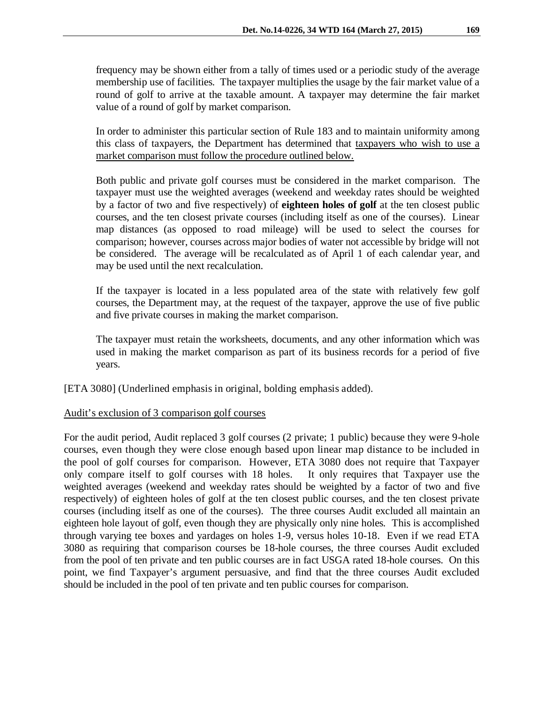frequency may be shown either from a tally of times used or a periodic study of the average membership use of facilities. The taxpayer multiplies the usage by the fair market value of a round of golf to arrive at the taxable amount. A taxpayer may determine the fair market value of a round of golf by market comparison.

In order to administer this particular section of Rule 183 and to maintain uniformity among this class of taxpayers, the Department has determined that taxpayers who wish to use a market comparison must follow the procedure outlined below.

Both public and private golf courses must be considered in the market comparison. The taxpayer must use the weighted averages (weekend and weekday rates should be weighted by a factor of two and five respectively) of **eighteen holes of golf** at the ten closest public courses, and the ten closest private courses (including itself as one of the courses). Linear map distances (as opposed to road mileage) will be used to select the courses for comparison; however, courses across major bodies of water not accessible by bridge will not be considered. The average will be recalculated as of April 1 of each calendar year, and may be used until the next recalculation.

If the taxpayer is located in a less populated area of the state with relatively few golf courses, the Department may, at the request of the taxpayer, approve the use of five public and five private courses in making the market comparison.

The taxpayer must retain the worksheets, documents, and any other information which was used in making the market comparison as part of its business records for a period of five years.

[ETA 3080] (Underlined emphasis in original, bolding emphasis added).

#### Audit's exclusion of 3 comparison golf courses

For the audit period, Audit replaced 3 golf courses (2 private; 1 public) because they were 9-hole courses, even though they were close enough based upon linear map distance to be included in the pool of golf courses for comparison. However, ETA 3080 does not require that Taxpayer only compare itself to golf courses with 18 holes. It only requires that Taxpayer use the weighted averages (weekend and weekday rates should be weighted by a factor of two and five respectively) of eighteen holes of golf at the ten closest public courses, and the ten closest private courses (including itself as one of the courses). The three courses Audit excluded all maintain an eighteen hole layout of golf, even though they are physically only nine holes. This is accomplished through varying tee boxes and yardages on holes 1-9, versus holes 10-18. Even if we read ETA 3080 as requiring that comparison courses be 18-hole courses, the three courses Audit excluded from the pool of ten private and ten public courses are in fact USGA rated 18-hole courses. On this point, we find Taxpayer's argument persuasive, and find that the three courses Audit excluded should be included in the pool of ten private and ten public courses for comparison.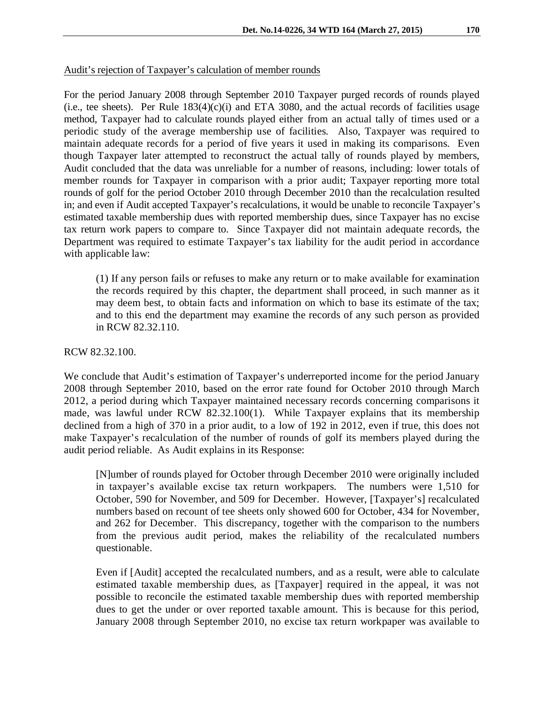### Audit's rejection of Taxpayer's calculation of member rounds

For the period January 2008 through September 2010 Taxpayer purged records of rounds played (i.e., tee sheets). Per Rule  $183(4)(c)(i)$  and ETA 3080, and the actual records of facilities usage method, Taxpayer had to calculate rounds played either from an actual tally of times used or a periodic study of the average membership use of facilities. Also, Taxpayer was required to maintain adequate records for a period of five years it used in making its comparisons. Even though Taxpayer later attempted to reconstruct the actual tally of rounds played by members, Audit concluded that the data was unreliable for a number of reasons, including: lower totals of member rounds for Taxpayer in comparison with a prior audit; Taxpayer reporting more total rounds of golf for the period October 2010 through December 2010 than the recalculation resulted in; and even if Audit accepted Taxpayer's recalculations, it would be unable to reconcile Taxpayer's estimated taxable membership dues with reported membership dues, since Taxpayer has no excise tax return work papers to compare to. Since Taxpayer did not maintain adequate records, the Department was required to estimate Taxpayer's tax liability for the audit period in accordance with applicable law:

(1) If any person fails or refuses to make any return or to make available for examination the records required by this chapter, the department shall proceed, in such manner as it may deem best, to obtain facts and information on which to base its estimate of the tax; and to this end the department may examine the records of any such person as provided in RCW 82.32.110.

### RCW 82.32.100.

We conclude that Audit's estimation of Taxpayer's underreported income for the period January 2008 through September 2010, based on the error rate found for October 2010 through March 2012, a period during which Taxpayer maintained necessary records concerning comparisons it made, was lawful under RCW 82.32.100(1). While Taxpayer explains that its membership declined from a high of 370 in a prior audit, to a low of 192 in 2012, even if true, this does not make Taxpayer's recalculation of the number of rounds of golf its members played during the audit period reliable. As Audit explains in its Response:

[N]umber of rounds played for October through December 2010 were originally included in taxpayer's available excise tax return workpapers. The numbers were 1,510 for October, 590 for November, and 509 for December. However, [Taxpayer's] recalculated numbers based on recount of tee sheets only showed 600 for October, 434 for November, and 262 for December. This discrepancy, together with the comparison to the numbers from the previous audit period, makes the reliability of the recalculated numbers questionable.

Even if [Audit] accepted the recalculated numbers, and as a result, were able to calculate estimated taxable membership dues, as [Taxpayer] required in the appeal, it was not possible to reconcile the estimated taxable membership dues with reported membership dues to get the under or over reported taxable amount. This is because for this period, January 2008 through September 2010, no excise tax return workpaper was available to